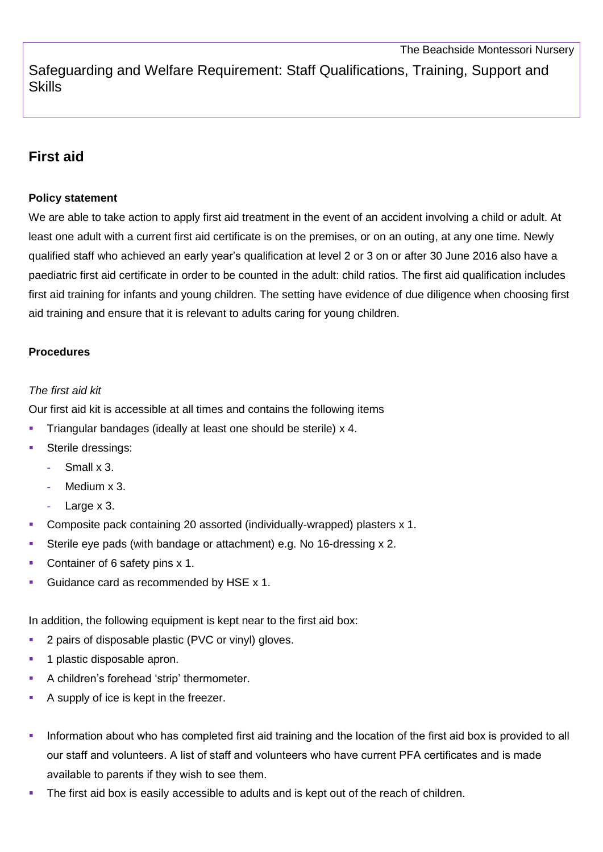Safeguarding and Welfare Requirement: Staff Qualifications, Training, Support and **Skills** 

# **First aid**

#### **Policy statement**

We are able to take action to apply first aid treatment in the event of an accident involving a child or adult. At least one adult with a current first aid certificate is on the premises, or on an outing, at any one time. Newly qualified staff who achieved an early year's qualification at level 2 or 3 on or after 30 June 2016 also have a paediatric first aid certificate in order to be counted in the adult: child ratios. The first aid qualification includes first aid training for infants and young children. The setting have evidence of due diligence when choosing first aid training and ensure that it is relevant to adults caring for young children.

### **Procedures**

#### *The first aid kit*

Our first aid kit is accessible at all times and contains the following items

- Triangular bandages (ideally at least one should be sterile) x 4.
- Sterile dressings:
	- **-** Small x 3.
	- **-** Medium x 3.
	- **-** Large x 3.
- Composite pack containing 20 assorted (individually-wrapped) plasters x 1.
- Sterile eye pads (with bandage or attachment) e.g. No 16-dressing x 2.
- Container of 6 safety pins x 1.
- Guidance card as recommended by HSE x 1.

In addition, the following equipment is kept near to the first aid box:

- 2 pairs of disposable plastic (PVC or vinyl) gloves.
- 1 plastic disposable apron.
- A children's forehead 'strip' thermometer.
- A supply of ice is kept in the freezer.
- Information about who has completed first aid training and the location of the first aid box is provided to all our staff and volunteers. A list of staff and volunteers who have current PFA certificates and is made available to parents if they wish to see them.
- The first aid box is easily accessible to adults and is kept out of the reach of children.